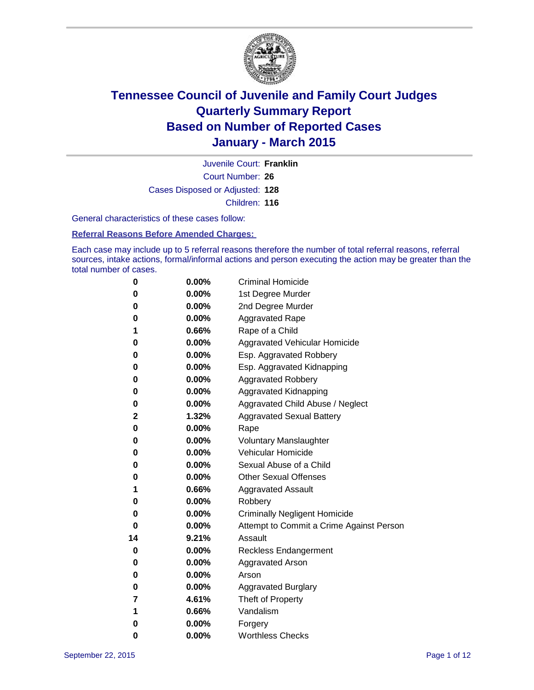

Court Number: **26** Juvenile Court: **Franklin** Cases Disposed or Adjusted: **128** Children: **116**

General characteristics of these cases follow:

**Referral Reasons Before Amended Charges:** 

Each case may include up to 5 referral reasons therefore the number of total referral reasons, referral sources, intake actions, formal/informal actions and person executing the action may be greater than the total number of cases.

| 0  | 0.00%    | <b>Criminal Homicide</b>                 |
|----|----------|------------------------------------------|
| 0  | 0.00%    | 1st Degree Murder                        |
| 0  | 0.00%    | 2nd Degree Murder                        |
| 0  | 0.00%    | <b>Aggravated Rape</b>                   |
| 1  | 0.66%    | Rape of a Child                          |
| 0  | 0.00%    | Aggravated Vehicular Homicide            |
| 0  | 0.00%    | Esp. Aggravated Robbery                  |
| 0  | 0.00%    | Esp. Aggravated Kidnapping               |
| 0  | 0.00%    | <b>Aggravated Robbery</b>                |
| 0  | 0.00%    | <b>Aggravated Kidnapping</b>             |
| 0  | $0.00\%$ | Aggravated Child Abuse / Neglect         |
| 2  | 1.32%    | <b>Aggravated Sexual Battery</b>         |
| 0  | 0.00%    | Rape                                     |
| 0  | $0.00\%$ | <b>Voluntary Manslaughter</b>            |
| 0  | 0.00%    | <b>Vehicular Homicide</b>                |
| 0  | 0.00%    | Sexual Abuse of a Child                  |
| 0  | 0.00%    | <b>Other Sexual Offenses</b>             |
| 1  | 0.66%    | <b>Aggravated Assault</b>                |
| 0  | 0.00%    | Robbery                                  |
| 0  | 0.00%    | <b>Criminally Negligent Homicide</b>     |
| 0  | 0.00%    | Attempt to Commit a Crime Against Person |
| 14 | 9.21%    | Assault                                  |
| 0  | 0.00%    | <b>Reckless Endangerment</b>             |
| 0  | $0.00\%$ | <b>Aggravated Arson</b>                  |
| 0  | $0.00\%$ | Arson                                    |
| 0  | 0.00%    | <b>Aggravated Burglary</b>               |
| 7  | 4.61%    | Theft of Property                        |
| 1  | 0.66%    | Vandalism                                |
| 0  | 0.00%    | Forgery                                  |
| 0  | 0.00%    | <b>Worthless Checks</b>                  |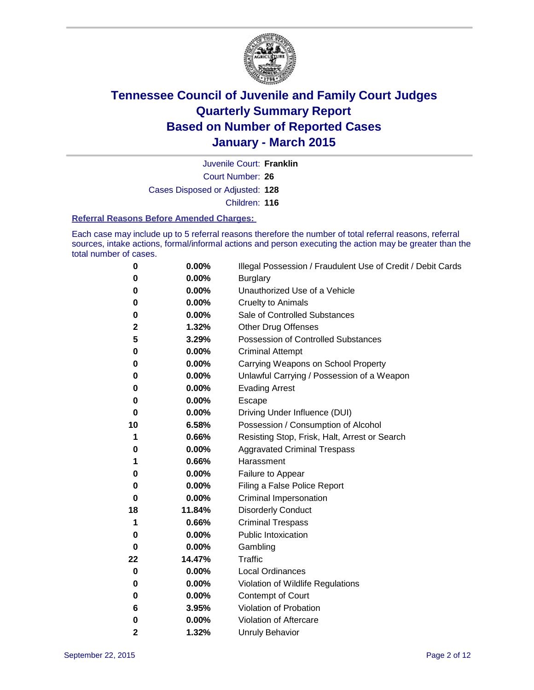

Court Number: **26** Juvenile Court: **Franklin** Cases Disposed or Adjusted: **128** Children: **116**

#### **Referral Reasons Before Amended Charges:**

Each case may include up to 5 referral reasons therefore the number of total referral reasons, referral sources, intake actions, formal/informal actions and person executing the action may be greater than the total number of cases.

| 0  | 0.00%    | Illegal Possession / Fraudulent Use of Credit / Debit Cards |
|----|----------|-------------------------------------------------------------|
| 0  | 0.00%    | <b>Burglary</b>                                             |
| 0  | 0.00%    | Unauthorized Use of a Vehicle                               |
| 0  | 0.00%    | <b>Cruelty to Animals</b>                                   |
| 0  | 0.00%    | Sale of Controlled Substances                               |
| 2  | 1.32%    | <b>Other Drug Offenses</b>                                  |
| 5  | 3.29%    | Possession of Controlled Substances                         |
| 0  | 0.00%    | <b>Criminal Attempt</b>                                     |
| 0  | 0.00%    | Carrying Weapons on School Property                         |
| 0  | 0.00%    | Unlawful Carrying / Possession of a Weapon                  |
| 0  | 0.00%    | <b>Evading Arrest</b>                                       |
| 0  | 0.00%    | Escape                                                      |
| 0  | 0.00%    | Driving Under Influence (DUI)                               |
| 10 | 6.58%    | Possession / Consumption of Alcohol                         |
| 1  | 0.66%    | Resisting Stop, Frisk, Halt, Arrest or Search               |
| 0  | 0.00%    | <b>Aggravated Criminal Trespass</b>                         |
| 1  | 0.66%    | Harassment                                                  |
| 0  | 0.00%    | Failure to Appear                                           |
| 0  | 0.00%    | Filing a False Police Report                                |
| 0  | 0.00%    | Criminal Impersonation                                      |
| 18 | 11.84%   | <b>Disorderly Conduct</b>                                   |
| 1  | 0.66%    | <b>Criminal Trespass</b>                                    |
| 0  | $0.00\%$ | <b>Public Intoxication</b>                                  |
| 0  | 0.00%    | Gambling                                                    |
| 22 | 14.47%   | <b>Traffic</b>                                              |
| 0  | 0.00%    | <b>Local Ordinances</b>                                     |
| 0  | 0.00%    | Violation of Wildlife Regulations                           |
| 0  | 0.00%    | Contempt of Court                                           |
| 6  | 3.95%    | Violation of Probation                                      |
| 0  | 0.00%    | Violation of Aftercare                                      |
| 2  | 1.32%    | <b>Unruly Behavior</b>                                      |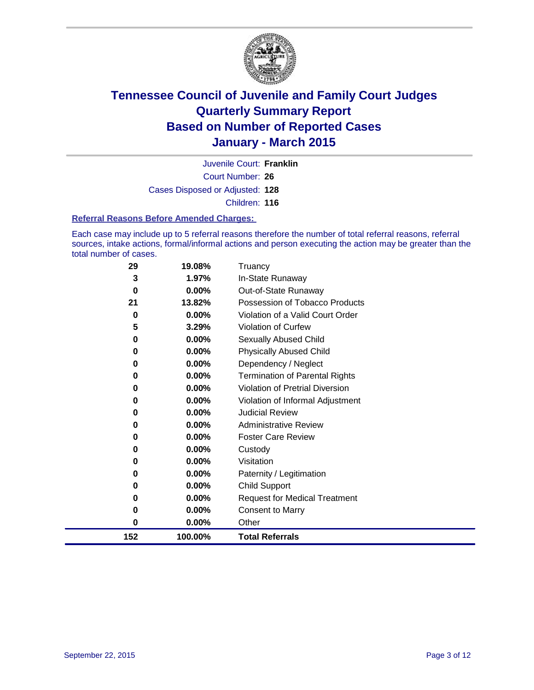

Court Number: **26** Juvenile Court: **Franklin** Cases Disposed or Adjusted: **128** Children: **116**

#### **Referral Reasons Before Amended Charges:**

Each case may include up to 5 referral reasons therefore the number of total referral reasons, referral sources, intake actions, formal/informal actions and person executing the action may be greater than the total number of cases.

| 29  | 19.08%   | Truancy                                |
|-----|----------|----------------------------------------|
| 3   | 1.97%    | In-State Runaway                       |
| 0   | $0.00\%$ | Out-of-State Runaway                   |
| 21  | 13.82%   | Possession of Tobacco Products         |
| 0   | 0.00%    | Violation of a Valid Court Order       |
| 5   | 3.29%    | <b>Violation of Curfew</b>             |
| 0   | 0.00%    | Sexually Abused Child                  |
| 0   | 0.00%    | <b>Physically Abused Child</b>         |
| 0   | 0.00%    | Dependency / Neglect                   |
| 0   | 0.00%    | <b>Termination of Parental Rights</b>  |
| 0   | $0.00\%$ | <b>Violation of Pretrial Diversion</b> |
| 0   | 0.00%    | Violation of Informal Adjustment       |
| 0   | $0.00\%$ | <b>Judicial Review</b>                 |
| 0   | 0.00%    | <b>Administrative Review</b>           |
| 0   | 0.00%    | <b>Foster Care Review</b>              |
| 0   | $0.00\%$ | Custody                                |
| 0   | 0.00%    | Visitation                             |
| 0   | 0.00%    | Paternity / Legitimation               |
| 0   | 0.00%    | <b>Child Support</b>                   |
| 0   | 0.00%    | <b>Request for Medical Treatment</b>   |
| 0   | 0.00%    | <b>Consent to Marry</b>                |
| 0   | 0.00%    | Other                                  |
| 152 | 100.00%  | <b>Total Referrals</b>                 |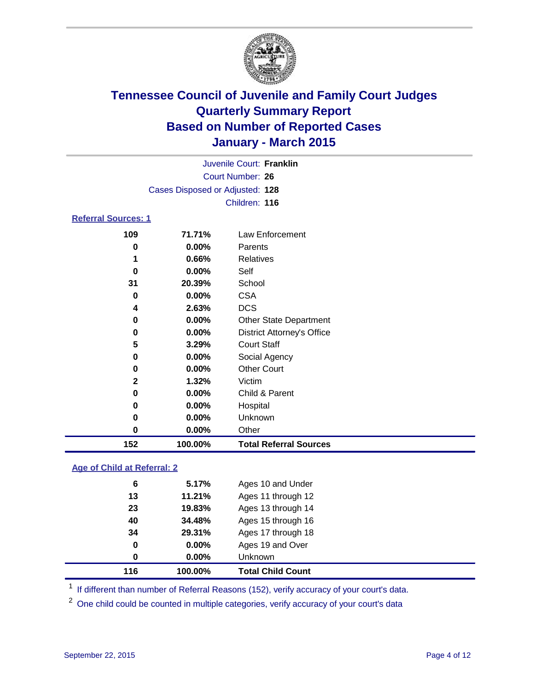

| Juvenile Court: Franklin   |                                 |                  |  |  |
|----------------------------|---------------------------------|------------------|--|--|
|                            | Court Number: 26                |                  |  |  |
|                            | Cases Disposed or Adjusted: 128 |                  |  |  |
|                            |                                 | Children: 116    |  |  |
| <b>Referral Sources: 1</b> |                                 |                  |  |  |
| 109                        | 71.71%                          | Law Enforcement  |  |  |
| 0                          | $0.00\%$                        | Parents          |  |  |
| 1                          | 0.66%                           | <b>Relatives</b> |  |  |
| 0                          | $0.00\%$                        | Self             |  |  |
| 31                         | 20.39%                          | School           |  |  |
| 0                          | $0.00\%$                        | CSA              |  |  |

| 152 | 100.00% | <b>Total Referral Sources</b>     |  |
|-----|---------|-----------------------------------|--|
| 0   | 0.00%   | Other                             |  |
| 0   | 0.00%   | Unknown                           |  |
| 0   | 0.00%   | Hospital                          |  |
| 0   | 0.00%   | Child & Parent                    |  |
| 2   | 1.32%   | Victim                            |  |
| 0   | 0.00%   | <b>Other Court</b>                |  |
| 0   | 0.00%   | Social Agency                     |  |
| 5   | 3.29%   | <b>Court Staff</b>                |  |
| 0   | 0.00%   | <b>District Attorney's Office</b> |  |
| 0   | 0.00%   | <b>Other State Department</b>     |  |
| 4   | 2.63%   | <b>DCS</b>                        |  |
| v   | v.vv /v | ◡◡┌                               |  |

### **Age of Child at Referral: 2**

| 116 | 100.00%  | <b>Total Child Count</b> |
|-----|----------|--------------------------|
| 0   | $0.00\%$ | Unknown                  |
| 0   | $0.00\%$ | Ages 19 and Over         |
| 34  | 29.31%   | Ages 17 through 18       |
| 40  | 34.48%   | Ages 15 through 16       |
| 23  | 19.83%   | Ages 13 through 14       |
| 13  | 11.21%   | Ages 11 through 12       |
| 6   | 5.17%    | Ages 10 and Under        |

<sup>1</sup> If different than number of Referral Reasons (152), verify accuracy of your court's data.

One child could be counted in multiple categories, verify accuracy of your court's data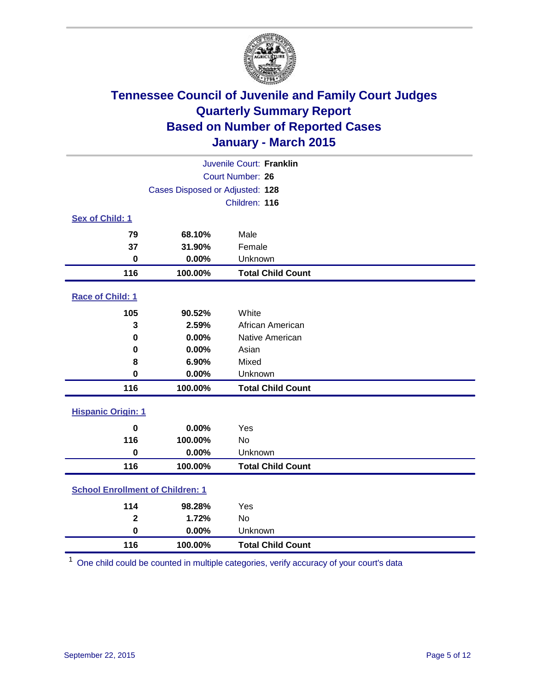

| Juvenile Court: Franklin                |                                 |                          |  |  |
|-----------------------------------------|---------------------------------|--------------------------|--|--|
|                                         | Court Number: 26                |                          |  |  |
|                                         | Cases Disposed or Adjusted: 128 |                          |  |  |
|                                         |                                 | Children: 116            |  |  |
| Sex of Child: 1                         |                                 |                          |  |  |
| 79                                      | 68.10%                          | Male                     |  |  |
| 37                                      | 31.90%                          | Female                   |  |  |
| $\bf{0}$                                | 0.00%                           | Unknown                  |  |  |
| 116                                     | 100.00%                         | <b>Total Child Count</b> |  |  |
| Race of Child: 1                        |                                 |                          |  |  |
| 105                                     | 90.52%                          | White                    |  |  |
| 3                                       | 2.59%                           | African American         |  |  |
| 0                                       | 0.00%                           | Native American          |  |  |
| 0                                       | 0.00%                           | Asian                    |  |  |
| 8                                       | 6.90%                           | Mixed                    |  |  |
| $\mathbf 0$                             | 0.00%                           | Unknown                  |  |  |
| 116                                     | 100.00%                         | <b>Total Child Count</b> |  |  |
| <b>Hispanic Origin: 1</b>               |                                 |                          |  |  |
| $\mathbf 0$                             | 0.00%                           | Yes                      |  |  |
| 116                                     | 100.00%                         | <b>No</b>                |  |  |
| $\mathbf 0$                             | 0.00%                           | Unknown                  |  |  |
| 116                                     | 100.00%                         | <b>Total Child Count</b> |  |  |
| <b>School Enrollment of Children: 1</b> |                                 |                          |  |  |
| 114                                     | 98.28%                          | Yes                      |  |  |
| $\overline{\mathbf{2}}$                 | 1.72%                           | No                       |  |  |
| $\bf{0}$                                | 0.00%                           | Unknown                  |  |  |
| 116                                     | 100.00%                         | <b>Total Child Count</b> |  |  |

One child could be counted in multiple categories, verify accuracy of your court's data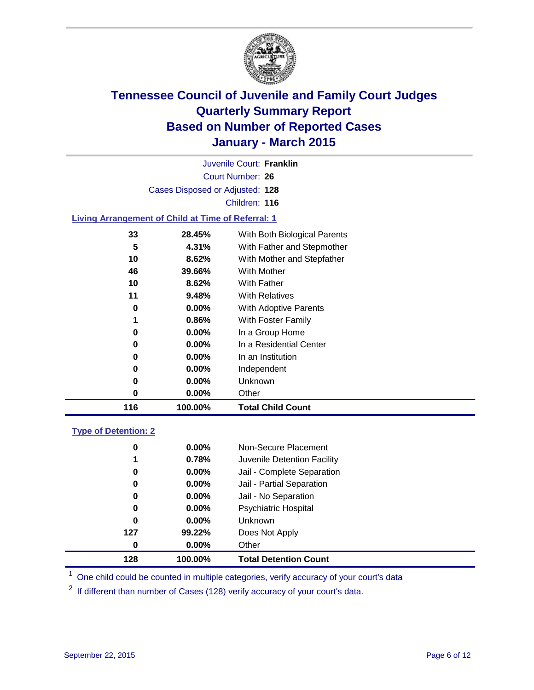

|                                                           |                                 | Juvenile Court: Franklin     |  |
|-----------------------------------------------------------|---------------------------------|------------------------------|--|
|                                                           |                                 | Court Number: 26             |  |
|                                                           | Cases Disposed or Adjusted: 128 |                              |  |
|                                                           |                                 | Children: 116                |  |
| <b>Living Arrangement of Child at Time of Referral: 1</b> |                                 |                              |  |
| 33                                                        | 28.45%                          | With Both Biological Parents |  |
| 5                                                         | 4.31%                           | With Father and Stepmother   |  |
| 10                                                        | 8.62%                           | With Mother and Stepfather   |  |
| 46                                                        | 39.66%                          | <b>With Mother</b>           |  |
| 10                                                        | 8.62%                           | With Father                  |  |
| 11                                                        | 9.48%                           | <b>With Relatives</b>        |  |
| 0                                                         | $0.00\%$                        | With Adoptive Parents        |  |
| 1                                                         | 0.86%                           | With Foster Family           |  |
| 0                                                         | $0.00\%$                        | In a Group Home              |  |
| 0                                                         | $0.00\%$                        | In a Residential Center      |  |

| 116 | 100.00%  | <b>Total Child Count</b> |  |
|-----|----------|--------------------------|--|
| 0   | $0.00\%$ | Other                    |  |
| 0   | $0.00\%$ | Unknown                  |  |
| 0   | $0.00\%$ | Independent              |  |
| 0   | $0.00\%$ | In an Institution        |  |

### **Type of Detention: 2**

| 128 | 100.00%  | <b>Total Detention Count</b> |
|-----|----------|------------------------------|
| 0   | $0.00\%$ | Other                        |
| 127 | 99.22%   | Does Not Apply               |
| 0   | $0.00\%$ | Unknown                      |
| 0   | $0.00\%$ | <b>Psychiatric Hospital</b>  |
| 0   | $0.00\%$ | Jail - No Separation         |
| 0   | $0.00\%$ | Jail - Partial Separation    |
| 0   | $0.00\%$ | Jail - Complete Separation   |
| 1   | 0.78%    | Juvenile Detention Facility  |
| 0   | $0.00\%$ | Non-Secure Placement         |

<sup>1</sup> One child could be counted in multiple categories, verify accuracy of your court's data

If different than number of Cases (128) verify accuracy of your court's data.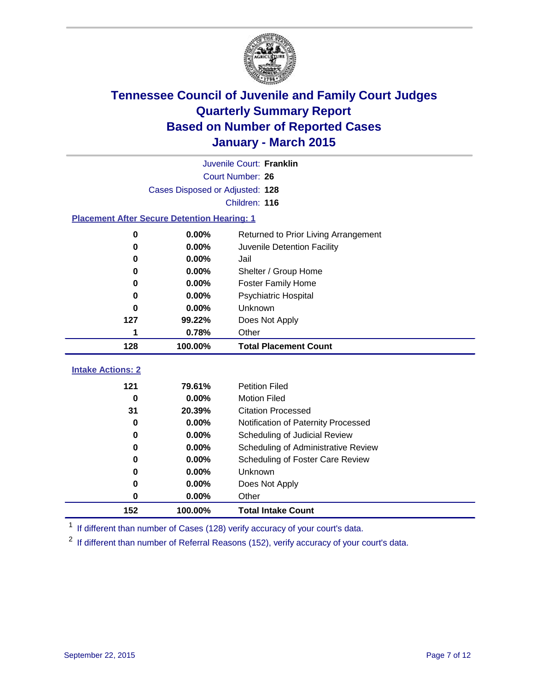

|                                                    | Juvenile Court: Franklin        |                                      |  |  |  |
|----------------------------------------------------|---------------------------------|--------------------------------------|--|--|--|
|                                                    | Court Number: 26                |                                      |  |  |  |
|                                                    | Cases Disposed or Adjusted: 128 |                                      |  |  |  |
|                                                    | Children: 116                   |                                      |  |  |  |
| <b>Placement After Secure Detention Hearing: 1</b> |                                 |                                      |  |  |  |
| 0                                                  | 0.00%                           | Returned to Prior Living Arrangement |  |  |  |
| $\bf{0}$                                           | 0.00%                           | Juvenile Detention Facility          |  |  |  |
| 0                                                  | 0.00%                           | Jail                                 |  |  |  |
| 0                                                  | 0.00%                           | Shelter / Group Home                 |  |  |  |
| 0                                                  | 0.00%                           | <b>Foster Family Home</b>            |  |  |  |
| 0                                                  | 0.00%                           | <b>Psychiatric Hospital</b>          |  |  |  |
| 0                                                  | 0.00%                           | Unknown                              |  |  |  |
| 127                                                | 99.22%                          | Does Not Apply                       |  |  |  |
| 1                                                  | 0.78%                           | Other                                |  |  |  |
| 128                                                | 100.00%                         | <b>Total Placement Count</b>         |  |  |  |
| <b>Intake Actions: 2</b>                           |                                 |                                      |  |  |  |
|                                                    |                                 |                                      |  |  |  |
| 121                                                | 79.61%                          | <b>Petition Filed</b>                |  |  |  |
| 0                                                  | 0.00%                           | <b>Motion Filed</b>                  |  |  |  |
| 31                                                 | 20.39%                          | <b>Citation Processed</b>            |  |  |  |
| 0                                                  | 0.00%                           | Notification of Paternity Processed  |  |  |  |
| $\bf{0}$                                           | 0.00%                           | Scheduling of Judicial Review        |  |  |  |
| 0                                                  | 0.00%                           | Scheduling of Administrative Review  |  |  |  |
| 0                                                  | 0.00%                           | Scheduling of Foster Care Review     |  |  |  |
| 0                                                  | 0.00%                           | Unknown                              |  |  |  |
| 0                                                  | 0.00%                           | Does Not Apply                       |  |  |  |
| $\bf{0}$                                           | 0.00%                           | Other                                |  |  |  |
| 152                                                | 100.00%                         | <b>Total Intake Count</b>            |  |  |  |

<sup>1</sup> If different than number of Cases (128) verify accuracy of your court's data.

If different than number of Referral Reasons (152), verify accuracy of your court's data.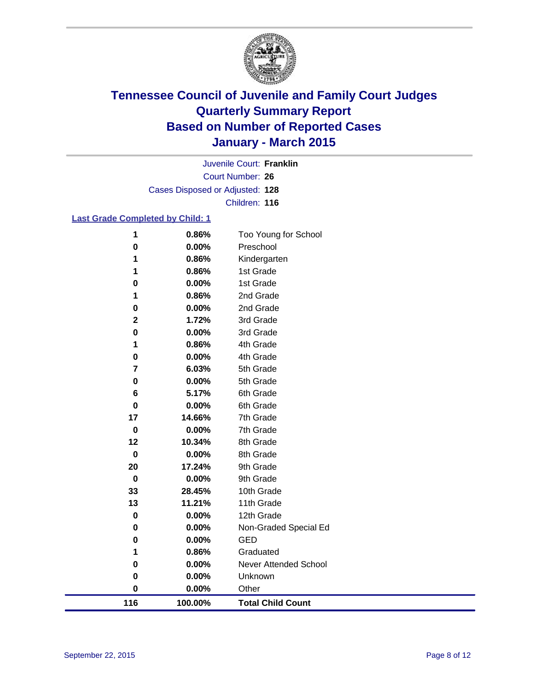

Court Number: **26** Juvenile Court: **Franklin** Cases Disposed or Adjusted: **128** Children: **116**

### **Last Grade Completed by Child: 1**

| 116                     | 100.00%        | <b>Total Child Count</b>  |
|-------------------------|----------------|---------------------------|
| $\pmb{0}$               | 0.00%          | Other                     |
| 0                       | 0.00%          | Unknown                   |
| 0                       | 0.00%          | Never Attended School     |
| 1                       | 0.86%          | Graduated                 |
| 0                       | 0.00%          | <b>GED</b>                |
| $\pmb{0}$               | 0.00%          | Non-Graded Special Ed     |
| $\pmb{0}$               | 0.00%          | 12th Grade                |
| 13                      | 11.21%         | 11th Grade                |
| 33                      | 28.45%         | 10th Grade                |
| $\pmb{0}$               | 0.00%          | 9th Grade                 |
| 20                      | 17.24%         | 9th Grade                 |
| $\pmb{0}$               | 0.00%          | 8th Grade                 |
| 12                      | 10.34%         | 8th Grade                 |
| $\pmb{0}$               | 0.00%          | 7th Grade                 |
| 17                      | 14.66%         | 7th Grade                 |
| $\pmb{0}$               | 0.00%          | 6th Grade                 |
| 6                       | 5.17%          | 6th Grade                 |
| 0                       | 0.00%          | 5th Grade                 |
| $\overline{\mathbf{r}}$ | 6.03%          | 5th Grade                 |
| $\bf{0}$                | 0.00%          | 4th Grade                 |
| 1                       | 0.86%          | 4th Grade                 |
| $\pmb{0}$               | 0.00%          | 3rd Grade                 |
| $\mathbf 2$             | 1.72%          | 3rd Grade                 |
| 0                       | 0.00%          | 2nd Grade                 |
| 1                       | 0.86%          | 2nd Grade                 |
| 0                       | 0.00%          | 1st Grade                 |
| 1                       | 0.86%<br>0.86% | Kindergarten<br>1st Grade |
| 1                       |                |                           |
| $\bf{0}$                | 0.00%          | Preschool                 |
| 1                       | 0.86%          | Too Young for School      |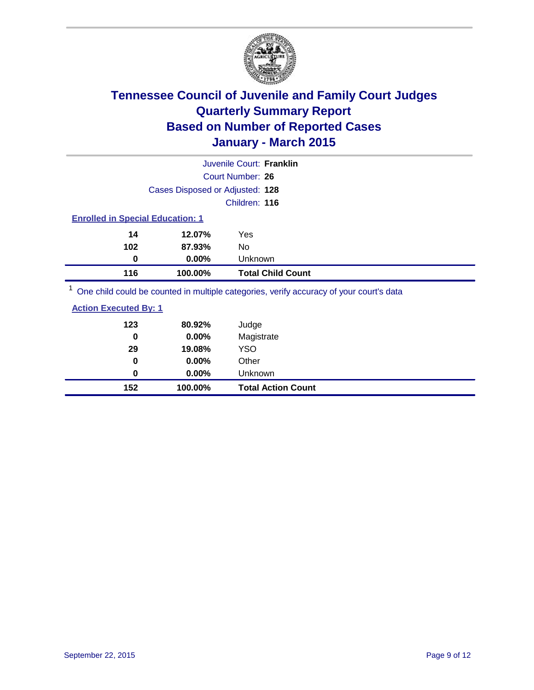

| Juvenile Court: Franklin                |          |                                                                                         |  |  |
|-----------------------------------------|----------|-----------------------------------------------------------------------------------------|--|--|
|                                         |          | Court Number: 26                                                                        |  |  |
| Cases Disposed or Adjusted: 128         |          |                                                                                         |  |  |
| Children: 116                           |          |                                                                                         |  |  |
| <b>Enrolled in Special Education: 1</b> |          |                                                                                         |  |  |
| 14                                      | 12.07%   | Yes                                                                                     |  |  |
| 102                                     | 87.93%   | No                                                                                      |  |  |
| 0                                       | $0.00\%$ | Unknown                                                                                 |  |  |
| 116                                     | 100.00%  | <b>Total Child Count</b>                                                                |  |  |
|                                         |          | One objet could be counted in multiple optogenies, verify accuracy of your courtle data |  |  |

<sup>1</sup> One child could be counted in multiple categories, verify accuracy of your court's data

| 152                          | 100.00% | <b>Total Action Count</b> |
|------------------------------|---------|---------------------------|
| 0                            | 0.00%   | <b>Unknown</b>            |
| 0                            | 0.00%   | Other                     |
| 29                           | 19.08%  | YSO                       |
| 0                            | 0.00%   | Magistrate                |
| 123                          | 80.92%  | Judge                     |
| <b>Action Executed By: 1</b> |         |                           |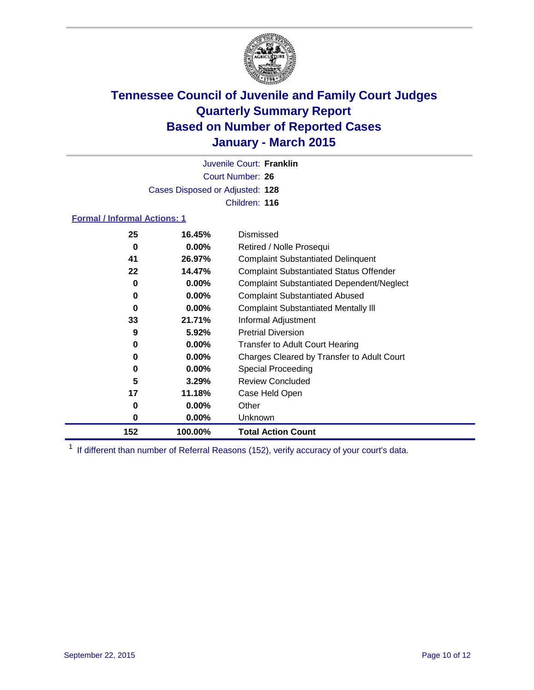

Court Number: **26** Juvenile Court: **Franklin** Cases Disposed or Adjusted: **128** Children: **116**

#### **Formal / Informal Actions: 1**

| 25  | 16.45%   | Dismissed                                        |
|-----|----------|--------------------------------------------------|
| 0   | $0.00\%$ | Retired / Nolle Prosequi                         |
| 41  | 26.97%   | <b>Complaint Substantiated Delinquent</b>        |
| 22  | 14.47%   | <b>Complaint Substantiated Status Offender</b>   |
| 0   | $0.00\%$ | <b>Complaint Substantiated Dependent/Neglect</b> |
| 0   | $0.00\%$ | <b>Complaint Substantiated Abused</b>            |
| 0   | $0.00\%$ | <b>Complaint Substantiated Mentally III</b>      |
| 33  | 21.71%   | Informal Adjustment                              |
| 9   | 5.92%    | <b>Pretrial Diversion</b>                        |
| 0   | $0.00\%$ | <b>Transfer to Adult Court Hearing</b>           |
| 0   | $0.00\%$ | Charges Cleared by Transfer to Adult Court       |
| 0   | $0.00\%$ | Special Proceeding                               |
| 5   | 3.29%    | <b>Review Concluded</b>                          |
| 17  | 11.18%   | Case Held Open                                   |
| 0   | $0.00\%$ | Other                                            |
| 0   | $0.00\%$ | Unknown                                          |
| 152 | 100.00%  | <b>Total Action Count</b>                        |

<sup>1</sup> If different than number of Referral Reasons (152), verify accuracy of your court's data.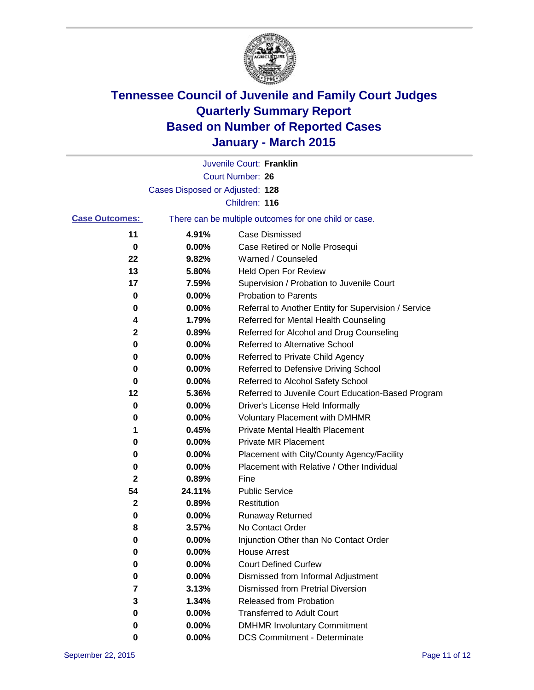

|                       |                                 | Juvenile Court: Franklin                              |
|-----------------------|---------------------------------|-------------------------------------------------------|
|                       |                                 | Court Number: 26                                      |
|                       | Cases Disposed or Adjusted: 128 |                                                       |
|                       |                                 | Children: 116                                         |
| <b>Case Outcomes:</b> |                                 | There can be multiple outcomes for one child or case. |
| 11                    | 4.91%                           | <b>Case Dismissed</b>                                 |
| 0                     | 0.00%                           | Case Retired or Nolle Prosequi                        |
| 22                    | 9.82%                           | Warned / Counseled                                    |
| 13                    | 5.80%                           | Held Open For Review                                  |
| 17                    | 7.59%                           | Supervision / Probation to Juvenile Court             |
| 0                     | 0.00%                           | <b>Probation to Parents</b>                           |
| 0                     | 0.00%                           | Referral to Another Entity for Supervision / Service  |
| 4                     | 1.79%                           | Referred for Mental Health Counseling                 |
| 2                     | 0.89%                           | Referred for Alcohol and Drug Counseling              |
| 0                     | 0.00%                           | Referred to Alternative School                        |
| 0                     | 0.00%                           | Referred to Private Child Agency                      |
| 0                     | 0.00%                           | Referred to Defensive Driving School                  |
| 0                     | 0.00%                           | Referred to Alcohol Safety School                     |
| 12                    | 5.36%                           | Referred to Juvenile Court Education-Based Program    |
| 0                     | 0.00%                           | Driver's License Held Informally                      |
| 0                     | 0.00%                           | <b>Voluntary Placement with DMHMR</b>                 |
| 1                     | 0.45%                           | <b>Private Mental Health Placement</b>                |
| 0                     | 0.00%                           | <b>Private MR Placement</b>                           |
| 0                     | 0.00%                           | Placement with City/County Agency/Facility            |
| 0                     | 0.00%                           | Placement with Relative / Other Individual            |
| 2                     | 0.89%                           | Fine                                                  |
| 54                    | 24.11%                          | <b>Public Service</b>                                 |
| $\mathbf{2}$          | 0.89%                           | Restitution                                           |
| 0                     | 0.00%                           | <b>Runaway Returned</b>                               |
| 8                     | 3.57%                           | No Contact Order                                      |
| 0                     | 0.00%                           | Injunction Other than No Contact Order                |
| 0                     | $0.00\%$                        | <b>House Arrest</b>                                   |
| 0                     | 0.00%                           | <b>Court Defined Curfew</b>                           |
| 0                     | 0.00%                           | Dismissed from Informal Adjustment                    |
| 7                     | 3.13%                           | <b>Dismissed from Pretrial Diversion</b>              |
| 3                     | 1.34%                           | Released from Probation                               |
| 0                     | 0.00%                           | <b>Transferred to Adult Court</b>                     |
| 0                     | $0.00\%$                        | <b>DMHMR Involuntary Commitment</b>                   |
| 0                     | $0.00\%$                        | <b>DCS Commitment - Determinate</b>                   |